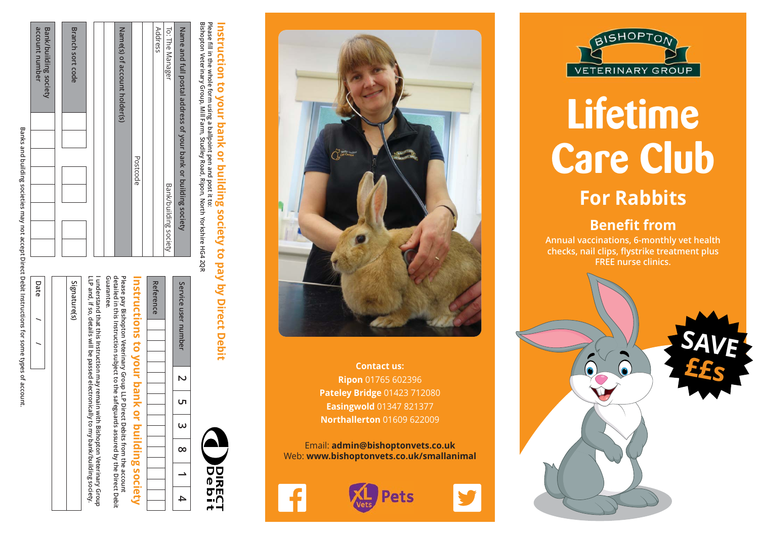Banks and building societies may not accept Direct Debit Instructions for some types of account **Banks and building societies may not accept Direct Debit Instructions for some types of account.**

| Branch sort code |   |  |                    |  |          | Signature(s)         |        |   |  |
|------------------|---|--|--------------------|--|----------|----------------------|--------|---|--|
|                  |   |  |                    |  |          |                      |        |   |  |
| societ           |   |  |                    |  |          |                      |        |   |  |
| account number   |   |  |                    |  |          | Date                 |        |   |  |
|                  | 1 |  | ֧֚֡ <u>֚</u><br>֚֚ |  | $\vdots$ | $\ddot{\phantom{0}}$ | .<br>. | , |  |

|  | <b>Signature</b> (s | LLP and, if so, details will be passed electronically to my bank/building society. | I conderstand that this instruction may reaming vittle pishopton $\lambda$ eterinary Group |
|--|---------------------|------------------------------------------------------------------------------------|--------------------------------------------------------------------------------------------|

**detailed in this Instruction subject to the safeguards assured by the Direct Debit Please pay Bishopton Veterinary Group LLP Direct Debits from the account Instructions to your bank or building society**

Please pay Bishopton Veterinary Group LLP Direct Debits from the account<br>detailed in this Instruction subject to the safeguards assured by the Direct Debit<br>Guarantee.

**Guarantee.** 

nstructions

to your bank or building society

Reference Service user num **Reference Service user number**



Please fill in the whole form using a ballpoint pen and post it to:<br>Bishopton Veterinary Group, Mill Farm, Studley Road, Ripon, North Yorkshire HG4 2QF Instruction to your bank or building society to pay by Direct Debit **Please fill in the whole form using a ballpoint pen and post it to: Instruction to your bank or building society to pay by Direct Debit**

**Bishopton Veterinary Group, Mill Farm, Studley Road, Ripon, North Yorkshire HG4 2QR**

| Į |  | Name(s) of account holder(s) |          | Address | To: The Manager       | Name and full postal address of your bank or building society |  |
|---|--|------------------------------|----------|---------|-----------------------|---------------------------------------------------------------|--|
|   |  |                              | Postcode |         | Bank/building society |                                                               |  |

| ber |     |
|-----|-----|
|     |     |
| ப   |     |
| ω   |     |
| ထ   |     |
|     | てのこ |
|     | ۴   |



Email: **admin@bishoptonvets.co.uk** Web: **www.bishoptonvets.co.uk/smallanimal**







# **Lifetime Care Club**

## **For Rabbits**

## **Benefit from**

**Annual vaccinations, 6-monthly vet health checks, nail clips, flystrike treatment plus FREE nurse clinics.**